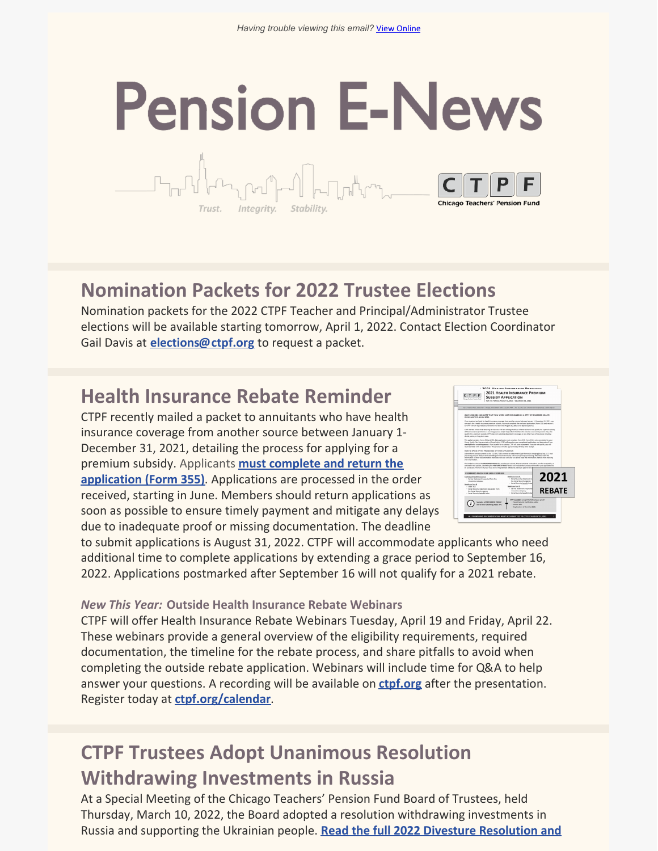# **Pension E-News**

**Nomination Packets for 2022 Trustee Elections**

Integrity, Stability

Nomination packets for the 2022 CTPF Teacher and Principal/Administrator Trustee elections will be available starting tomorrow, April 1, 2022. Contact Election Coordinator Gail Davis at **[elections@ctpf.org](mailto:elections@ctpf.org)** to request a packet.

#### **Health Insurance Rebate Reminder**

CTPF recently mailed a packet to annuitants who have health insurance coverage from another source between January 1- December 31, 2021, detailing the process for applying for a premium subsidy. Applicants **must complete and return the application (Form 355)**. [Applications](https://ctpf.org/sites/files/2022-03/2021_REBATE_Subsidy Application_vk3_FINAL.pdf) are processed in the order received, starting in June. Members should return applications as soon as possible to ensure timely payment and mitigate any delays due to inadequate proof or missing documentation. The deadline

|                                                                                                                                                                                                                                                                                                                                                                                                                                                                          | <b>2021 HEALTH INSURANCE PREMIUM</b><br><b>SUBSIDY APPLICATION</b><br>гол ти геноо (мымит 1, 2021 - Оксамия 31, 2021)                   |               |
|--------------------------------------------------------------------------------------------------------------------------------------------------------------------------------------------------------------------------------------------------------------------------------------------------------------------------------------------------------------------------------------------------------------------------------------------------------------------------|-----------------------------------------------------------------------------------------------------------------------------------------|---------------|
| 65 V Financial Paris, Auto 1888   Chicago, Ninola MARS, MAR   ELEASES AND   East Telephon Paris   Marsha Services Rentweators   www.end.org                                                                                                                                                                                                                                                                                                                              |                                                                                                                                         |               |
| OUR RECORDS INDICATE THAT YOU WERE NOT ENROLLED IN A CTPF-SPONSORED HEALTH<br>INSURANCE PLAN IN 2021.                                                                                                                                                                                                                                                                                                                                                                    |                                                                                                                                         |               |
| If you received and naid for health incurance countage from another young between languary 1; December 11, 2021, you<br>can apply for a health insurance premium cuboids. You must complete the enclosed application (Form 155) and return it<br>to CTFF with all required documentation no later than Awayd 31, 2022 (with 192 assessment).                                                                                                                             |                                                                                                                                         |               |
| CTFF retirees whose final teaching service was with the Chicago Public or Charter Schools may scalify for a partial subsidir-<br>of their incurrence premiums, 4 sundular secure and/or desendent children site remium a sundure's persion may also<br>qualify for a premium subsidy. CTPF does not subsidiar dependent coverage, or any other type of insurance including<br>dental, vision, or long-term care.                                                         |                                                                                                                                         |               |
| This nuclei contains Forms 31d and 315. AGL applicants must complete Form 331: Form 33d is not completed by your<br>Group Health Plan Representative (Fapplicable). CFPF will examine your completed application and determine if you<br>are eligible for a subside summet. If you mustify for a subside CTFF will boun a summer). If you do not mustify, you will<br>protion a latter with an auctionation. This process will take approximately 80-days after paralet- |                                                                                                                                         |               |
| ADDRESS TO SERVE THE TAX REPORTED ON STOLE ARELIZATION.                                                                                                                                                                                                                                                                                                                                                                                                                  |                                                                                                                                         |               |
| Submit forms and documents by fax 312,641,7185 or email an attachment (.pdf format) to impairatifultations, U.S. mail<br>processing may be delayed and submitting forms electronically will ensure prompt processing, Members mark the<br>information on their documentation that does not scan well and no cannot read the information, Refrain from marking<br>teacher before the automatic                                                                            |                                                                                                                                         |               |
| The list helper shows the DRISERRED PROOF for members to submit. Please note that while other proof is accumultie, an<br>outlined in this packet, submitting the PREFERRED PROOF below will reduce the turnaround time for your application to<br>be processed. The form of proof must show the premium billed and premium paid for the i                                                                                                                                |                                                                                                                                         |               |
| <b>PREFERRED PROOF FOR EACH PREMIUM</b>                                                                                                                                                                                                                                                                                                                                                                                                                                  |                                                                                                                                         |               |
| Individual Health Insurance<br>. Carrier statement requested from the<br><b>Insurance company</b><br>Medicare Part &                                                                                                                                                                                                                                                                                                                                                     | Medium Fet.8<br>- Social Security statement rel<br>the Social Security Assney<br>- Social Security benefit letter                       | 2021          |
| $-1000 - 104$<br>· Social Security statement requested from<br>the Serial Seriority Agency<br>· Social Security benefit letter                                                                                                                                                                                                                                                                                                                                           | Medisare Part D<br>- Carrier statement requested<br><b>Insurance company</b><br>- Social Security benefit letter                        | <b>REBATE</b> |
| Samples of PREFEREED PROOF<br>on the following pages 3-4.                                                                                                                                                                                                                                                                                                                                                                                                                | CIPS CANNOT accept the following as a roof:<br>· Social Security Verification Letter<br>· Dedar Bills<br>- Euclanation of Banafés (EOS) |               |

to submit applications is August 31, 2022. CTPF will accommodate applicants who need additional time to complete applications by extending a grace period to September 16, 2022. Applications postmarked after September 16 will not qualify for a 2021 rebate.

*New This Year:* **Outside Health Insurance Rebate Webinars**

CTPF will offer Health Insurance Rebate Webinars Tuesday, April 19 and Friday, April 22. These webinars provide a general overview of the eligibility requirements, required documentation, the timeline for the rebate process, and share pitfalls to avoid when completing the outside rebate application. Webinars will include time for Q&A to help answer your questions. A recording will be available on **[ctpf.org](https://ctpf.org/)** after the presentation. Register today at **[ctpf.org/calendar](https://ctpf.org/news-calendar/calendar)**.

#### **CTPF Trustees Adopt Unanimous Resolution Withdrawing Investments in Russia**

At a Special Meeting of the Chicago Teachers' Pension Fund Board of Trustees, held Thursday, March 10, 2022, the Board adopted a resolution withdrawing investments in Russia and supporting the Ukrainian people. **Read the full 2022 Divesture [Resolution](https://ctpf.org/news/ctpf-board-passes-unanimous-resolution-withdrawing-investments-russia-and-supporting-ukrainian) and**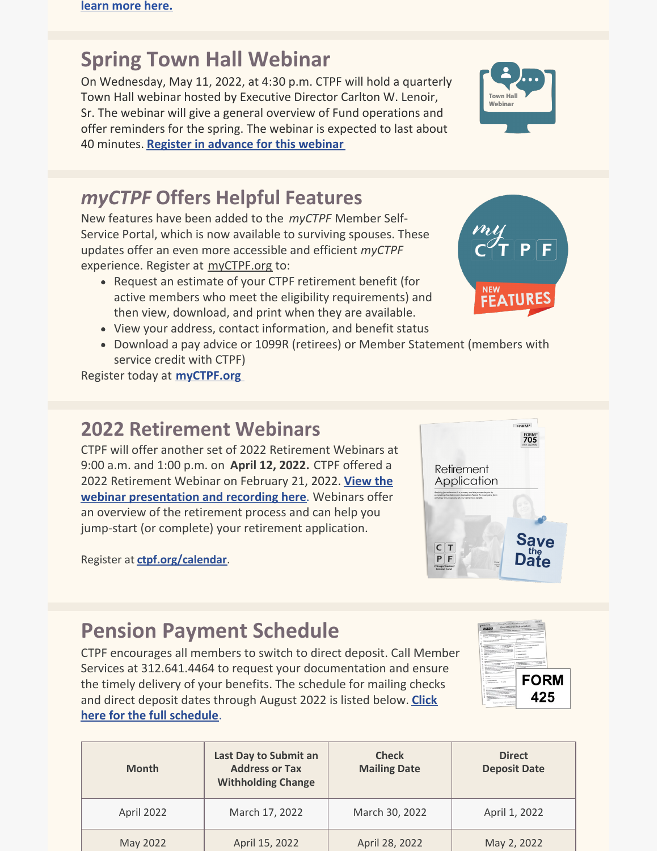## **Spring Town Hall Webinar**

On Wednesday, May 11, 2022, at 4:30 p.m. CTPF will hold a quarterly Town Hall webinar hosted by Executive Director Carlton W. Lenoir, Sr. The webinar will give a general overview of Fund operations and offer reminders for the spring. The webinar is expected to last about 40 minutes. **Register in [advance](https://ctpf.zoom.us/webinar/register/WN_ES8Ey04ZSWmb9K7yfUFRNg) for this webinar**

#### *myCTPF* **Offers Helpful Features**

New features have been added to the *myCTPF* Member Self-Service Portal, which is now available to surviving spouses. These updates offer an even more accessible and efficient *myCTPF* experience. Register at [myCTPF.org](http://myctpf.org) to:

- Request an estimate of your CTPF retirement benefit (for active members who meet the eligibility requirements) and then view, download, and print when they are available.
- View your address, contact information, and benefit status
- Download a pay advice or 1099R (retirees) or Member Statement (members with service credit with CTPF)

Register today at **[myCTPF.org](http://myctpf.org)**

#### **2022 Retirement Webinars**

CTPF will offer another set of 2022 Retirement Webinars at 9:00 a.m. and 1:00 p.m. on **April 12, 2022.** CTPF offered a 2022 Retirement Webinar on February 21, 2022. **View the webinar [presentation](https://ctpf.org/member-resources/active-members/retirement-resources) and recording here**. Webinars offer an overview of the retirement process and can help you jump-start (or complete) your retirement application.

Register at **[ctpf.org/calendar](https://ctpf.org/news-calendar/calendar)**.

# **Pension Payment Schedule**

CTPF encourages all members to switch to direct deposit. Call Member Services at 312.641.4464 to request your documentation and ensure the timely delivery of your benefits. The schedule for mailing checks and direct deposit dates through August 2022 is listed below. **Click here for the full [schedule](https://www.ctpf.org/member-resources/retired-members/pension-payments)**.

| <b>Month</b> | Last Day to Submit an<br><b>Address or Tax</b><br><b>Withholding Change</b> | <b>Check</b><br><b>Mailing Date</b> | <b>Direct</b><br><b>Deposit Date</b> |
|--------------|-----------------------------------------------------------------------------|-------------------------------------|--------------------------------------|
| April 2022   | March 17, 2022                                                              | March 30, 2022                      | April 1, 2022                        |
| May 2022     | April 15, 2022                                                              | April 28, 2022                      | May 2, 2022                          |







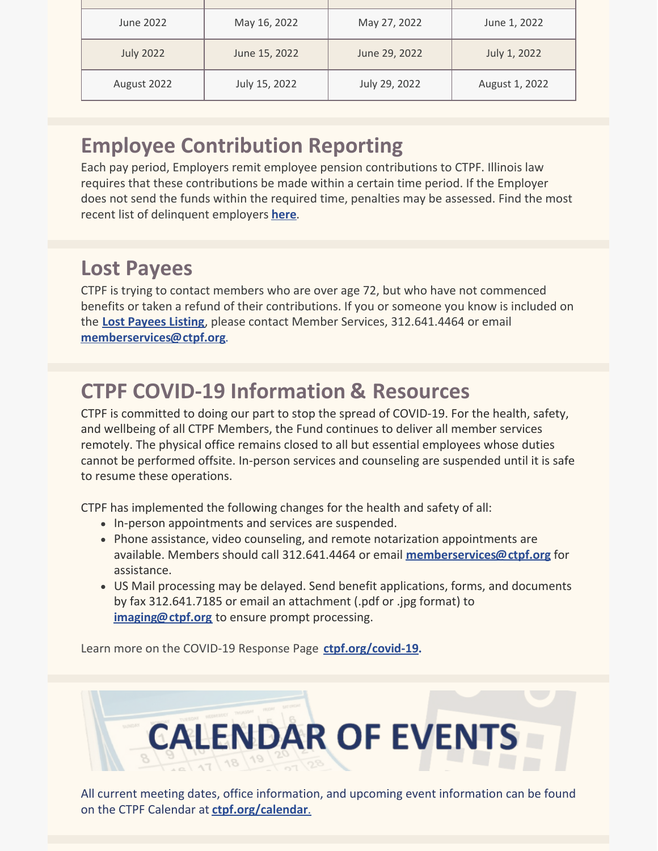| June 2022        | May 16, 2022  | May 27, 2022  | June 1, 2022   |
|------------------|---------------|---------------|----------------|
| <b>July 2022</b> | June 15, 2022 | June 29, 2022 | July 1, 2022   |
| August 2022      | July 15, 2022 | July 29, 2022 | August 1, 2022 |

# **Employee Contribution Reporting**

Each pay period, Employers remit employee pension contributions to CTPF. Illinois law requires that these contributions be made within a certain time period. If the Employer does not send the funds within the required time, penalties may be assessed. Find the most recent list of delinquent employers **[here](https://ctpf.org/employer-contribution-reporting)**.

## **Lost Payees**

CTPF is trying to contact members who are over age 72, but who have not commenced benefits or taken a refund of their contributions. If you or someone you know is included on the **Lost [Payees](https://www.ctpf.org/sites/files/2020-10/lost_payees_last_school_worked_website_list_2.pdf) Listing**, please contact Member Services, 312.641.4464 or email **[memberservices@ctpf.org](mailto:memberservices@ctpf.org)**.

# **CTPF COVID-19 Information & Resources**

CTPF is committed to doing our part to stop the spread of COVID-19. For the health, safety, and wellbeing of all CTPF Members, the Fund continues to deliver all member services remotely. The physical office remains closed to all but essential employees whose duties cannot be performed offsite. In-person services and counseling are suspended until it is safe to resume these operations.

CTPF has implemented the following changes for the health and safety of all:

- In-person appointments and services are suspended.
- Phone assistance, video counseling, and remote notarization appointments are available. Members should call 312.641.4464 or email **[memberservices@ctpf.org](mailto:memberservices@ctpf.org)** for assistance.
- US Mail processing may be delayed. Send benefit applications, forms, and documents by fax 312.641.7185 or email an attachment (.pdf or .jpg format) to **[imaging@ctpf.org](mailto:imaging@ctpf.org)** to ensure prompt processing.

Learn more on the COVID-19 Response Page **[ctpf.org/covid-19](https://ctpf.org/news-calendar/covid-19).**



All current meeting dates, office information, and upcoming event information can be found on the CTPF Calendar at **[ctpf.org/calendar](https://ctpf.org/news-calendar/calendar)**[.](https://ctpf.org/news-calendar/calendar)